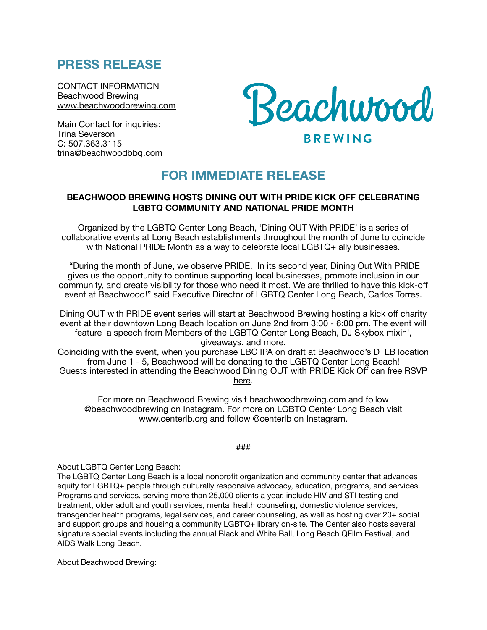## **PRESS RELEASE**

CONTACT INFORMATION Beachwood Brewing [www.beachwoodbrewing.com](http://www.beachwoodbrewing.com)

Main Contact for inquiries: Trina Severson C: 507.363.3115 [trina@beachwoodbbq.com](mailto:trina@beachwoodbbq.com)



## **FOR IMMEDIATE RELEASE**

## **BEACHWOOD BREWING HOSTS DINING OUT WITH PRIDE KICK OFF CELEBRATING LGBTQ COMMUNITY AND NATIONAL PRIDE MONTH**

Organized by the LGBTQ Center Long Beach, 'Dining OUT With PRIDE' is a series of collaborative events at Long Beach establishments throughout the month of June to coincide with National PRIDE Month as a way to celebrate local LGBTQ+ ally businesses.

 "During the month of June, we observe PRIDE. In its second year, Dining Out With PRIDE gives us the opportunity to continue supporting local businesses, promote inclusion in our community, and create visibility for those who need it most. We are thrilled to have this kick-off event at Beachwood!" said Executive Director of LGBTQ Center Long Beach, Carlos Torres.

Dining OUT with PRIDE event series will start at Beachwood Brewing hosting a kick off charity event at their downtown Long Beach location on June 2nd from 3:00 - 6:00 pm. The event will feature a speech from Members of the LGBTQ Center Long Beach, DJ Skybox mixin', giveaways, and more.

Coinciding with the event, when you purchase LBC IPA on draft at Beachwood's DTLB location from June 1 - 5, Beachwood will be donating to the LGBTQ Center Long Beach! Guests interested in attending the Beachwood Dining OUT with PRIDE Kick Off can free RSVP [here](https://www.eventbrite.com/e/343378693917).

For more on Beachwood Brewing visit beachwoodbrewing.com and follow @beachwoodbrewing on Instagram. For more on LGBTQ Center Long Beach visit [www.centerlb.org](http://www.centerlb.org) and follow @centerlb on Instagram.

###

About LGBTQ Center Long Beach:

The LGBTQ Center Long Beach is a local nonprofit organization and community center that advances equity for LGBTQ+ people through culturally responsive advocacy, education, programs, and services. Programs and services, serving more than 25,000 clients a year, include HIV and STI testing and treatment, older adult and youth services, mental health counseling, domestic violence services, transgender health programs, legal services, and career counseling, as well as hosting over 20+ social and support groups and housing a community LGBTQ+ library on-site. The Center also hosts several signature special events including the annual Black and White Ball, Long Beach QFilm Festival, and AIDS Walk Long Beach.

About Beachwood Brewing: